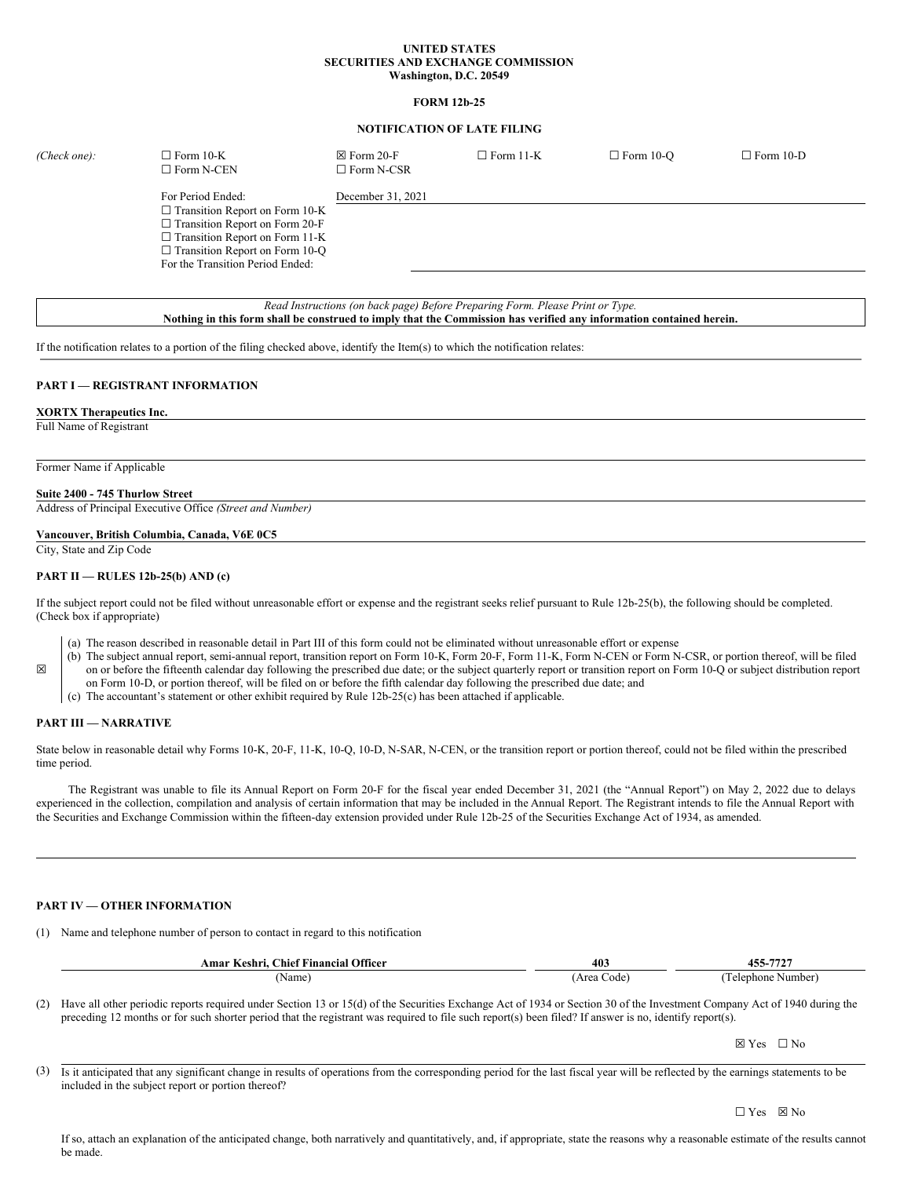# **UNITED STATES SECURITIES AND EXCHANGE COMMISSION Washington, D.C. 20549**

### **FORM 12b-25**

# **NOTIFICATION OF LATE FILING**

| (Check one): | $\Box$ Form 10-K<br>$\Box$ Form N-CEN                                                                                                                                                                                     | $\boxtimes$ Form 20-F<br>$\Box$ Form N-CSR | $\Box$ Form 11-K | $\Box$ Form 10-O | $\Box$ Form 10-D |
|--------------|---------------------------------------------------------------------------------------------------------------------------------------------------------------------------------------------------------------------------|--------------------------------------------|------------------|------------------|------------------|
|              | For Period Ended:<br>$\Box$ Transition Report on Form 10-K<br>$\Box$ Transition Report on Form 20-F<br>$\Box$ Transition Report on Form 11-K<br>$\Box$ Transition Report on Form 10-Q<br>For the Transition Period Ended: | December 31, 2021                          |                  |                  |                  |

*Read Instructions (on back page) Before Preparing Form. Please Print or Type.* Nothing in this form shall be construed to imply that the Commission has verified any information contained herein.

If the notification relates to a portion of the filing checked above, identify the Item(s) to which the notification relates:

# **PART I — REGISTRANT INFORMATION**

#### **XORTX Therapeutics Inc.**

Full Name of Registrant

Former Name if Applicable

#### **Suite 2400 - 745 Thurlow Street**

Address of Principal Executive Office *(Street and Number)*

# **Vancouver, British Columbia, Canada, V6E 0C5**

City, State and Zip Code

# **PART II — RULES 12b-25(b) AND (c)**

If the subject report could not be filed without unreasonable effort or expense and the registrant seeks relief pursuant to Rule 12b-25(b), the following should be completed. (Check box if appropriate)

- (a) The reason described in reasonable detail in Part III of this form could not be eliminated without unreasonable effort or expense
- (b) The subject annual report, semi-annual report, transition report on Form 10-K, Form 20-F, Form 11-K, Form N-CEN or Form N-CSR, or portion thereof, will be filed on or before the fifteenth calendar day following the prescribed due date; or the subject quarterly report or transition report on Form 10-Q or subject distribution report
- on Form 10-D, or portion thereof, will be filed on or before the fifth calendar day following the prescribed due date; and
- (c) The accountant's statement or other exhibit required by Rule 12b-25(c) has been attached if applicable.

#### **PART III — NARRATIVE**

☒

State below in reasonable detail why Forms 10-K, 20-F, 11-K, 10-Q, 10-D, N-SAR, N-CEN, or the transition report or portion thereof, could not be filed within the prescribed time period.

The Registrant was unable to file its Annual Report on Form 20-F for the fiscal year ended December 31, 2021 (the "Annual Report") on May 2, 2022 due to delays experienced in the collection, compilation and analysis of certain information that may be included in the Annual Report. The Registrant intends to file the Annual Report with the Securities and Exchange Commission within the fifteen-day extension provided under Rule 12b-25 of the Securities Exchange Act of 1934, as amended.

# **PART IV — OTHER INFORMATION**

(1) Name and telephone number of person to contact in regard to this notification

| <b>Officer</b><br><b>Chief Financial</b><br>∧eshr*<br>Amar | 403                | $455 - 7727$<br>T.J. |
|------------------------------------------------------------|--------------------|----------------------|
| 'Name,                                                     | Area<br>. ode<br>. | Number<br>Felenhone. |

(2) Have all other periodic reports required under Section 13 or 15(d) of the Securities Exchange Act of 1934 or Section 30 of the Investment Company Act of 1940 during the preceding 12 months or for such shorter period that the registrant was required to file such report(s) been filed? If answer is no, identify report(s).

☒ Yes ☐ No

(3) Is it anticipated that any significant change in results of operations from the corresponding period for the last fiscal year will be reflected by the earnings statements to be included in the subject report or portion thereof?

If so, attach an explanation of the anticipated change, both narratively and quantitatively, and, if appropriate, state the reasons why a reasonable estimate of the results cannot be made.